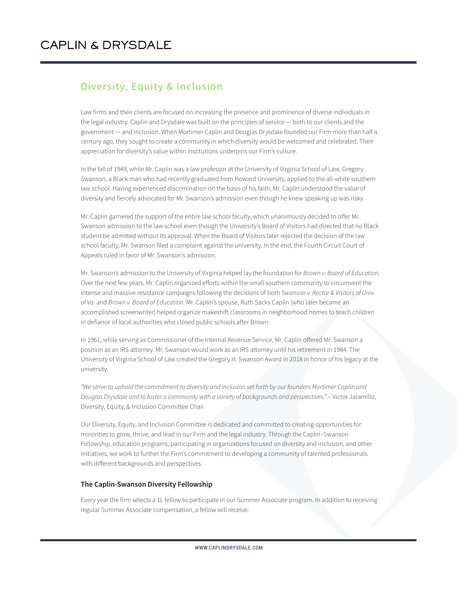## Diversity, Equity & Inclusion

Law firms and their clients are focused on increasing the presence and prominence of diverse individuals in the legal industry. Caplin and Drysdale was built on the principles of service — both to our clients and the government — and inclusion. When Mortimer Caplin and Douglas Drysdale founded our Firm more than half a century ago, they sought to create a community in which diversity would be welcomed and celebrated. Their appreciation for diversity's value within institutions underpins our Firm's culture.

In the fall of 1949, while Mr. Caplin was a law professor at the University of Virginia School of Law, Gregory Swanson, a Black man who had recently graduated from Howard University, applied to the all-white southern law school. Having experienced discrimination on the basis of his faith, Mr. Caplin understood the value of diversity and fiercely advocated for Mr. Swanson's admission even though he knew speaking up was risky.

Mr. Caplin garnered the support of the entire law school faculty, which unanimously decided to offer Mr. Swanson admission to the law school even though the University's Board of Visitors had directed that no Black student be admitted without its approval. When the Board of Visitors later rejected the decision of the law school faculty, Mr. Swanson filed a complaint against the university. In the end, the Fourth Circuit Court of Appeals ruled in favor of Mr. Swanson's admission.

Mr. Swanson's admission to the University of Virginia helped lay the foundation for *Brown v. Board of Education*. Over the next few years, Mr. Caplin organized efforts within the small southern community to circumvent the intense and massive resistance campaigns following the decisions of both *Swanson v. Rector & Visitors of Univ. of Va.* and *Brown v. Board of Education*. Mr. Caplin's spouse, Ruth Sacks Caplin (who later became an accomplished screenwriter) helped organize makeshift classrooms in neighborhood homes to teach children in defiance of local authorities who closed public schools after Brown.

In 1961, while serving as Commissioner of the Internal Revenue Service, Mr. Caplin offered Mr. Swanson a position as an IRS attorney. Mr. Swanson would work as an IRS attorney until his retirement in 1984. The University of Virginia School of Law created the Gregory H. Swanson Award in 2018 in honor of his legacy at the university.

*"We strive to uphold the commitment to diversity and inclusion set forth by our founders Mortimer Caplin and* Douglas Drysdale and to foster a community with a variety of backgrounds and perspectives." – Victor Jaramillo, Diversity, Equity, & Inclusion Committee Chair

Our Diversity, Equity, and Inclusion Committee is dedicated and committed to creating opportunities for minorities to grow, thrive, and lead in our Firm and the legal industry. Through the Caplin–Swanson Fellowship, education programs, participating in organizations focused on diversity and inclusion, and other initiatives, we work to further the Firm's commitment to developing a community of talented professionals with different backgrounds and perspectives.

## **The Caplin-Swanson Diversity Fellowship**

Every year the firm selects a 1L fellow to participate in our Summer Associate program. In addition to receiving regular Summer Associate compensation, a fellow will receive: